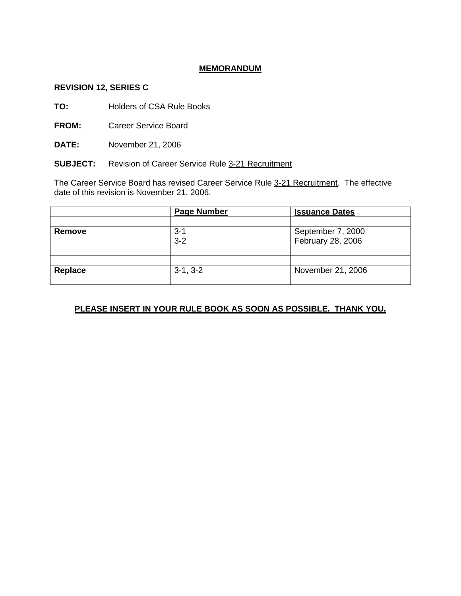## **MEMORANDUM**

### **REVISION 12, SERIES C**

**TO:** Holders of CSA Rule Books

**FROM:** Career Service Board

**DATE:** November 21, 2006

**SUBJECT:** Revision of Career Service Rule 3-21 Recruitment

The Career Service Board has revised Career Service Rule 3-21 Recruitment. The effective date of this revision is November 21, 2006.

|         | <b>Page Number</b> | <b>Issuance Dates</b> |
|---------|--------------------|-----------------------|
|         |                    |                       |
| Remove  | $3 - 1$            | September 7, 2000     |
|         | $3 - 2$            | February 28, 2006     |
|         |                    |                       |
|         |                    |                       |
| Replace | $3-1, 3-2$         | November 21, 2006     |
|         |                    |                       |

# **PLEASE INSERT IN YOUR RULE BOOK AS SOON AS POSSIBLE. THANK YOU.**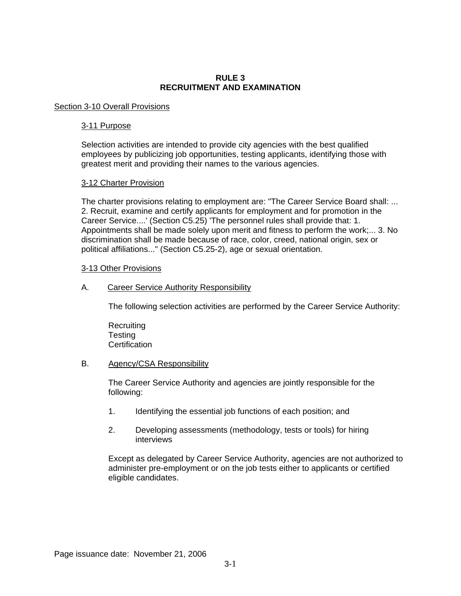### **RULE 3 RECRUITMENT AND EXAMINATION**

#### Section 3-10 Overall Provisions

#### 3-11 Purpose

Selection activities are intended to provide city agencies with the best qualified employees by publicizing job opportunities, testing applicants, identifying those with greatest merit and providing their names to the various agencies.

#### 3-12 Charter Provision

The charter provisions relating to employment are: "The Career Service Board shall: ... 2. Recruit, examine and certify applicants for employment and for promotion in the Career Service....' (Section C5.25) 'The personnel rules shall provide that: 1. Appointments shall be made solely upon merit and fitness to perform the work;... 3. No discrimination shall be made because of race, color, creed, national origin, sex or political affiliations..." (Section C5.25-2), age or sexual orientation.

#### 3-13 Other Provisions

A. Career Service Authority Responsibility

The following selection activities are performed by the Career Service Authority:

**Recruiting Testing Certification** 

#### B. Agency/CSA Responsibility

The Career Service Authority and agencies are jointly responsible for the following:

- 1. Identifying the essential job functions of each position; and
- 2. Developing assessments (methodology, tests or tools) for hiring interviews

Except as delegated by Career Service Authority, agencies are not authorized to administer pre-employment or on the job tests either to applicants or certified eligible candidates.